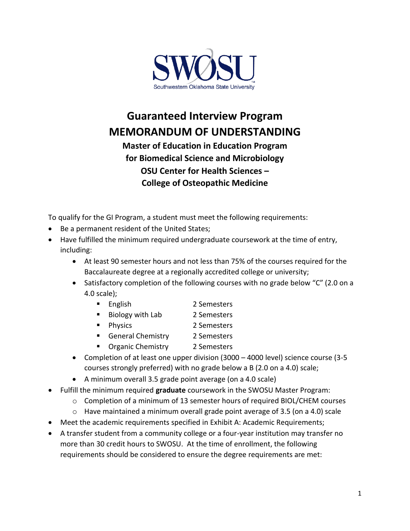

## **Guaranteed Interview Program MEMORANDUM OF UNDERSTANDING**

**Master of Education in Education Program for Biomedical Science and Microbiology OSU Center for Health Sciences – College of Osteopathic Medicine**

To qualify for the GI Program, a student must meet the following requirements:

- Be a permanent resident of the United States;
- Have fulfilled the minimum required undergraduate coursework at the time of entry, including:
	- At least 90 semester hours and not less than 75% of the courses required for the Baccalaureate degree at a regionally accredited college or university;
	- Satisfactory completion of the following courses with no grade below "C" (2.0 on a 4.0 scale);
		- English 2 Semesters
		- Biology with Lab 2 Semesters
		- Physics 2 Semesters
		- General Chemistry 2 Semesters
		- Organic Chemistry 2 Semesters
	- Completion of at least one upper division (3000 4000 level) science course (3-5 courses strongly preferred) with no grade below a B (2.0 on a 4.0) scale;
	- A minimum overall 3.5 grade point average (on a 4.0 scale)
- Fulfill the minimum required **graduate** coursework in the SWOSU Master Program:
	- $\circ$  Completion of a minimum of 13 semester hours of required BIOL/CHEM courses
	- $\circ$  Have maintained a minimum overall grade point average of 3.5 (on a 4.0) scale
- Meet the academic requirements specified in Exhibit A: Academic Requirements;
- A transfer student from a community college or a four-year institution may transfer no more than 30 credit hours to SWOSU. At the time of enrollment, the following requirements should be considered to ensure the degree requirements are met: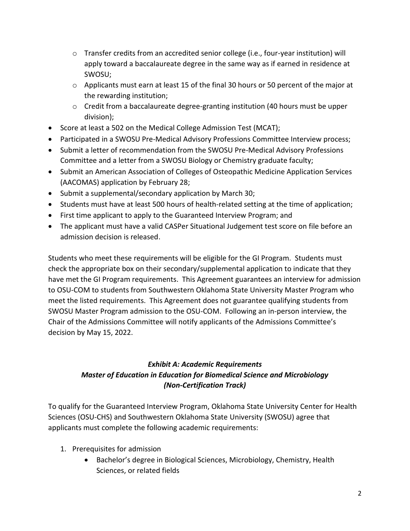- $\circ$  Transfer credits from an accredited senior college (i.e., four-year institution) will apply toward a baccalaureate degree in the same way as if earned in residence at SWOSU;
- $\circ$  Applicants must earn at least 15 of the final 30 hours or 50 percent of the major at the rewarding institution;
- o Credit from a baccalaureate degree-granting institution (40 hours must be upper division);
- Score at least a 502 on the Medical College Admission Test (MCAT);
- Participated in a SWOSU Pre-Medical Advisory Professions Committee Interview process;
- Submit a letter of recommendation from the SWOSU Pre-Medical Advisory Professions Committee and a letter from a SWOSU Biology or Chemistry graduate faculty;
- Submit an American Association of Colleges of Osteopathic Medicine Application Services (AACOMAS) application by February 28;
- Submit a supplemental/secondary application by March 30;
- Students must have at least 500 hours of health-related setting at the time of application;
- First time applicant to apply to the Guaranteed Interview Program; and
- The applicant must have a valid CASPer Situational Judgement test score on file before an admission decision is released.

Students who meet these requirements will be eligible for the GI Program. Students must check the appropriate box on their secondary/supplemental application to indicate that they have met the GI Program requirements. This Agreement guarantees an interview for admission to OSU-COM to students from Southwestern Oklahoma State University Master Program who meet the listed requirements. This Agreement does not guarantee qualifying students from SWOSU Master Program admission to the OSU-COM. Following an in-person interview, the Chair of the Admissions Committee will notify applicants of the Admissions Committee's decision by May 15, 2022.

## *Exhibit A: Academic Requirements Master of Education in Education for Biomedical Science and Microbiology (Non-Certification Track)*

To qualify for the Guaranteed Interview Program, Oklahoma State University Center for Health Sciences (OSU-CHS) and Southwestern Oklahoma State University (SWOSU) agree that applicants must complete the following academic requirements:

- 1. Prerequisites for admission
	- Bachelor's degree in Biological Sciences, Microbiology, Chemistry, Health Sciences, or related fields